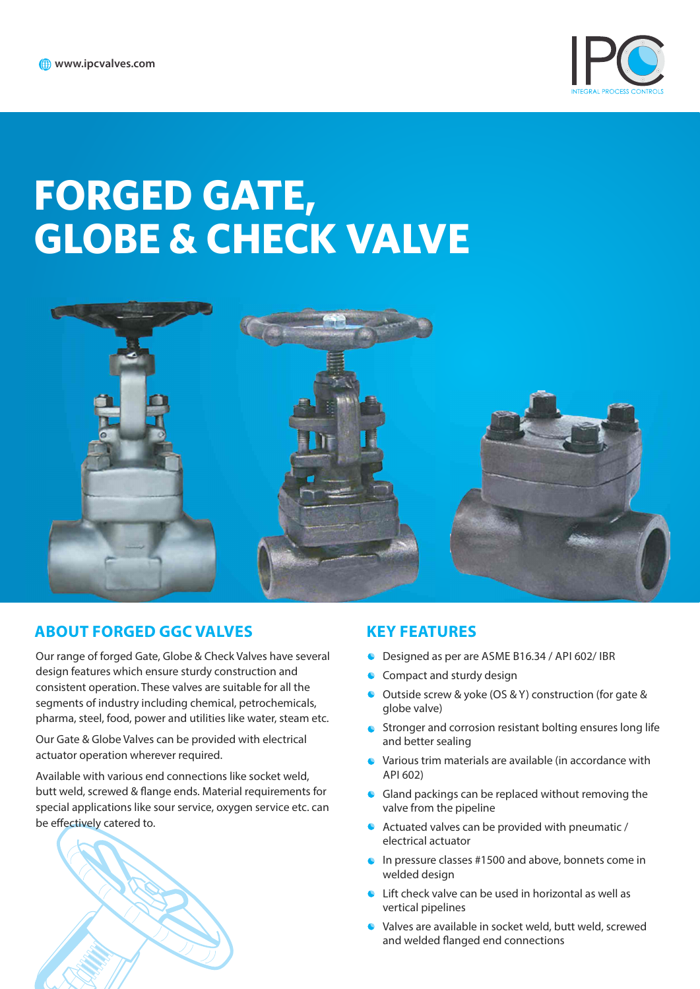

# **FORGED GATE, GLOBE & CHECK VALVE**



# **ABOUT FORGED GGC VALVES KEY FEATURES**

Our range of forged Gate, Globe & Check Valves have several design features which ensure sturdy construction and consistent operation. These valves are suitable for all the segments of industry including chemical, petrochemicals, pharma, steel, food, power and utilities like water, steam etc.

Our Gate & Globe Valves can be provided with electrical actuator operation wherever required.

Available with various end connections like socket weld, butt weld, screwed & flange ends. Material requirements for special applications like sour service, oxygen service etc. can be effectively catered to.



- $\bullet$ Designed as per are ASME B16.34 / API 602/ IBR
- Compact and sturdy design  $\bullet$
- Outside screw & yoke (OS & Y) construction (for gate &  $\bullet$ globe valve)
- Stronger and corrosion resistant bolting ensures long life  $\bullet$ and better sealing
- Various trim materials are available (in accordance with API 602)
- Gland packings can be replaced without removing the valve from the pipeline
- Actuated valves can be provided with pneumatic / electrical actuator
- In pressure classes #1500 and above, bonnets come in ä. welded design
- Lift check valve can be used in horizontal as well as vertical pipelines
- Valves are available in socket weld, butt weld, screwed and welded flanged end connections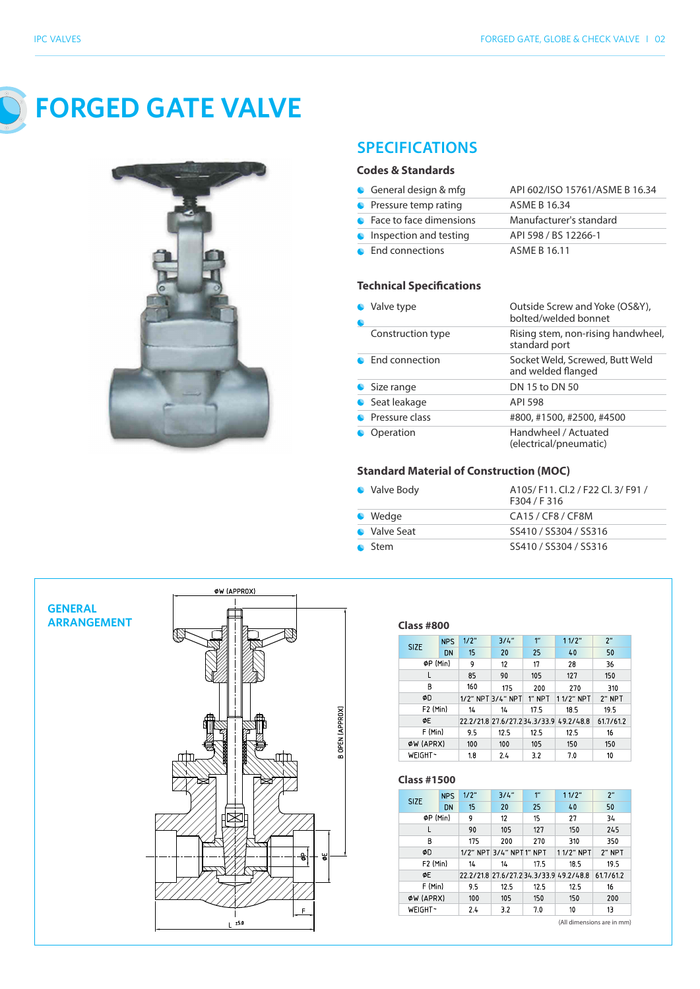

**FORGED GATE VALVE**



# **SPECIFICATIONS**

#### **Codes & Standards**

| General design & mfg      | API 602/ISO 15761/ASME B 16.34 |
|---------------------------|--------------------------------|
| • Pressure temp rating    | ASME B 16.34                   |
| • Face to face dimensions | Manufacturer's standard        |
| Inspection and testing    | API 598 / BS 12266-1           |
| • End connections         | ASMF R 16.11                   |

#### **Technical Specifications**

| Valve type        | Outside Screw and Yoke (OS&Y),<br>bolted/welded bonnet |  |  |
|-------------------|--------------------------------------------------------|--|--|
| Construction type | Rising stem, non-rising handwheel,<br>standard port    |  |  |
| • End connection  | Socket Weld, Screwed, Butt Weld<br>and welded flanged  |  |  |
| • Size range      | DN 15 to DN 50                                         |  |  |
| Seat leakage      | API 598                                                |  |  |
| Pressure class    | #800, #1500, #2500, #4500                              |  |  |
| Operation         | Handwheel / Actuated<br>(electrical/pneumatic)         |  |  |

#### **Standard Material of Construction (MOC)**

| • Valve Body | A105/F11. Cl.2 / F22 Cl. 3/F91 /<br>F304 / F316 |
|--------------|-------------------------------------------------|
| • Wedge      | CA15 / CF8 / CF8M                               |
| • Valve Seat | SS410 / SS304 / SS316                           |
| ● Stem       | SS410 / SS304 / SS316                           |



#### **Class**

| <b>SIZE</b>          | <b>NPS</b> | 1/2" | 3/4"              | $1^{\prime\prime}$ | 11/2"                                   | 2 <sup>''</sup> |
|----------------------|------------|------|-------------------|--------------------|-----------------------------------------|-----------------|
|                      | DN         | 15   | 20                | 25                 | 40                                      | 50              |
| ØP (Min)             |            | 9    | 12                | 17                 | 28                                      | 36              |
| L                    |            | 85   | 90                | 105                | 127                                     | 150             |
| В                    |            | 160  | 175               | 200                | 270                                     | 310             |
| ΦD                   |            |      | 1/2" NPT 3/4" NPT | 1" NPT             | 11/2" NPT                               | 2" NPT          |
| F <sub>2</sub> (Min) |            | 14   | 14                | 17.5               | 18.5                                    | 19.5            |
| ΦE                   |            |      |                   |                    | 22.2/21.8 27.6/27.2 34.3/33.9 49.2/48.8 | 61.7/61.2       |
| F (Min)              |            | 9.5  | 12.5              | 12.5               | 12.5                                    | 16              |
| ØW (APRX)            |            | 100  | 100               | 105                | 150                                     | 150             |
| WEIGHT~              |            | 1.8  | 2.4               | 3.2                | 7.0                                     | 10              |

#### **Class**

| <b>SIZE</b>          | <b>NPS</b> | 1/2" | 3/4"                    | $1^{\prime\prime}$ | 11/2"                                   | 2"        |
|----------------------|------------|------|-------------------------|--------------------|-----------------------------------------|-----------|
|                      | <b>DN</b>  | 15   | 20                      | 25                 | 40                                      | 50        |
| ØP (Min)             |            | 9    | 12                      | 15                 | 27                                      | 34        |
| L                    |            | 90   | 105                     | 127                | 150                                     | 245       |
| B                    |            | 175  | 200                     | 270                | 310                                     | 350       |
| ΦD                   |            |      | 1/2" NPT 3/4" NPT1" NPT |                    | 11/2" NPT                               | $2"$ NPT  |
| F <sub>2</sub> (Min) |            | 14   | 14                      | 17.5               | 18.5                                    | 19.5      |
| ΦE                   |            |      |                         |                    | 22.2/21.8 27.6/27.2 34.3/33.9 49.2/48.8 | 61.7/61.2 |
| F (Min)              |            | 9.5  | 12.5                    | 12.5               | 12.5                                    | 16        |
| ØW (APRX)            |            | 100  | 105                     | 150                | 150                                     | 200       |
| WEIGHT~              |            | 2.4  | 3.2                     | 7.0                | 10                                      | 13        |

All dimensions are in mm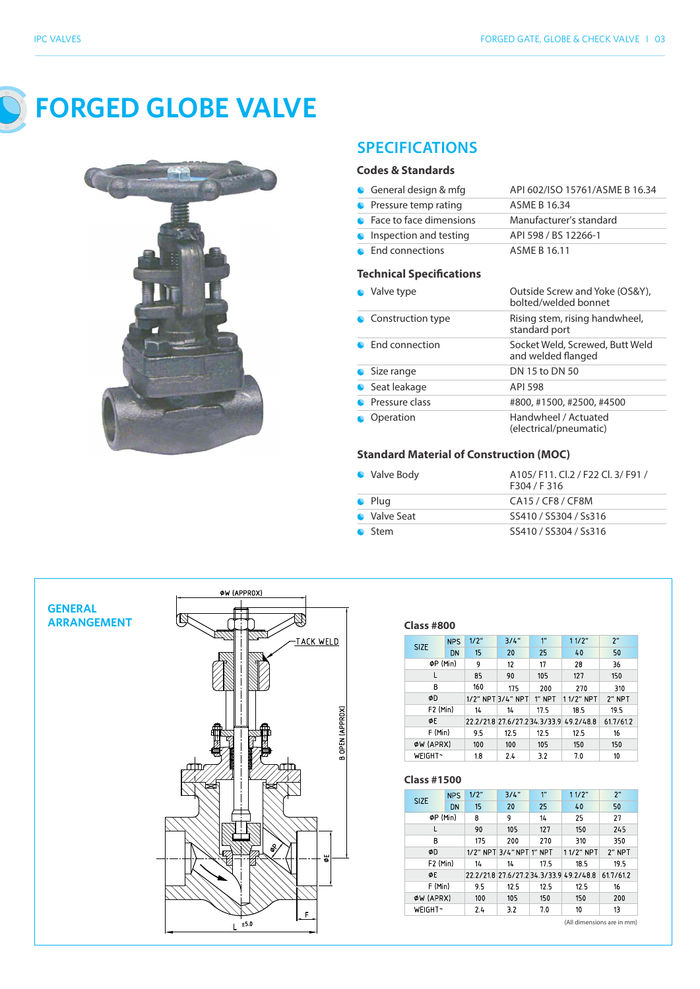

**FORGED GLOBE VALVE**



# **SPECIFICATIONS**

#### **Codes & Standards**

| General design & mfg            | API 602/ISO 15761/ASME B 16.34 |
|---------------------------------|--------------------------------|
| • Pressure temp rating          | ASME B 16.34                   |
| • Face to face dimensions       | Manufacturer's standard        |
| <b>C</b> Inspection and testing | API 598 / BS 12266-1           |
| • End connections               | ASMF B 16.11                   |

#### **Technical Specifications**

| Valve type        | Outside Screw and Yoke (OS&Y),<br>bolted/welded bonnet |
|-------------------|--------------------------------------------------------|
| Construction type | Rising stem, rising handwheel,<br>standard port        |
| • Fnd connection  | Socket Weld, Screwed, Butt Weld<br>and welded flanged  |
| • Size range      | DN 15 to DN 50                                         |
| ● Seat leakage    | API 598                                                |
| Pressure class    | #800, #1500, #2500, #4500                              |
| Operation         | Handwheel / Actuated<br>(electrical/pneumatic)         |

#### **Standard Material of Construction (MOC)**

| • Valve Body   | A105/F11. Cl.2 / F22 Cl. 3/F91 /<br>F304 / F316 |
|----------------|-------------------------------------------------|
| $\bullet$ Plug | CA15 / CF8 / CF8M                               |
| • Valve Seat   | SS410 / SS304 / Ss316                           |
| <b>C</b> Stem  | SS410 / SS304 / Ss316                           |



#### **Class**

| <b>SIZE</b>          | <b>NPS</b> | 1/2" | 3/4"              | $1^{\prime\prime}$ | 11/2"                                   | 2"        |
|----------------------|------------|------|-------------------|--------------------|-----------------------------------------|-----------|
|                      | DN         | 15   | 20                | 25                 | 40                                      | 50        |
| ØP (Min)             |            | 9    | 12                | 17                 | 28                                      | 36        |
| L                    |            | 85   | 90                | 105                | 127                                     | 150       |
| B                    |            | 160  | 175               | 200                | 270                                     | 310       |
| ΦD                   |            |      | 1/2" NPT 3/4" NPT | 1" NPT             | 11/2" NPT                               | $2$ " NPT |
| F <sub>2</sub> (Min) |            | 14   | 14                | 17.5               | 18.5                                    | 19.5      |
| ΦE                   |            |      |                   |                    | 22.2/21.8 27.6/27.2 34.3/33.9 49.2/48.8 | 61.7/61.2 |
| F (Min)              |            | 9.5  | 12.5              | 12.5               | 12.5                                    | 16        |
| ØW (APRX)            |            | 100  | 100               | 105                | 150                                     | 150       |
| WEIGHT~              |            | 1.8  | 2.4               | 3.2                | 7.0                                     | 10        |

#### **Class**

| <b>SIZE</b> | <b>NPS</b>           | 1/2" | 3/4"                     | 1 <sup>''</sup> | 11/2"                                   | 2"        |
|-------------|----------------------|------|--------------------------|-----------------|-----------------------------------------|-----------|
|             | DN                   | 15   | 20                       | 25              | 40                                      | 50        |
|             | ØP (Min)             | 8    | 9                        | 14              | 25                                      | 27        |
|             |                      | 90   | 105                      | 127             | 150                                     | 245       |
| B           |                      | 175  | 200                      | 270             | 310                                     | 350       |
| ΦD          |                      |      | 1/2" NPT 3/4" NPT 1" NPT |                 | 11/2" NPT                               | 2" NPT    |
|             | F <sub>2</sub> (Min) | 14   | 14                       | 17.5            | 18.5                                    | 19.5      |
| ΦE          |                      |      |                          |                 | 22.2/21.8 27.6/27.2 34.3/33.9 49.2/48.8 | 61.7/61.2 |
| F (Min)     |                      | 9.5  | 12.5                     | 12.5            | 12.5                                    | 16        |
| ØW (APRX)   |                      | 100  | 105                      | 150             | 150                                     | 200       |
| WEIGHT~     |                      | 2.4  | 3.2                      | 7.0             | 10                                      | 13        |

All dimensions are in mm